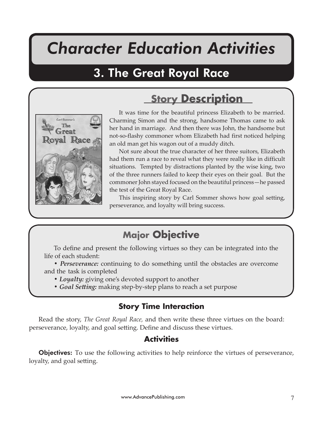# *Character Education Activities*

## 3. The Great Royal Race

# **Story Description**



It was time for the beautiful princess Elizabeth to be married. Charming Simon and the strong, handsome Thomas came to ask her hand in marriage. And then there was John, the handsome but not-so-flashy commoner whom Elizabeth had first noticed helping an old man get his wagon out of a muddy ditch.

Not sure about the true character of her three suitors, Elizabeth had them run a race to reveal what they were really like in difficult situations. Tempted by distractions planted by the wise king, two of the three runners failed to keep their eyes on their goal. But the commoner John stayed focused on the beautiful princess—he passed the test of the Great Royal Race.

This inspiring story by Carl Sommer shows how goal setting, perseverance, and loyalty will bring success.

### **Major Objective**

To define and present the following virtues so they can be integrated into the life of each student:

*• Perseverance:* continuing to do something until the obstacles are overcome and the task is completed

- *Loyalty:* giving one's devoted support to another
- *Goal Se�ing:* making step-by-step plans to reach a set purpose

### **Story Time Interaction**

Read the story, *The Great Royal Race,* and then write these three virtues on the board: perseverance, loyalty, and goal setting. Define and discuss these virtues.

### **Activities**

**Objectives:** To use the following activities to help reinforce the virtues of perseverance, loyalty, and goal setting.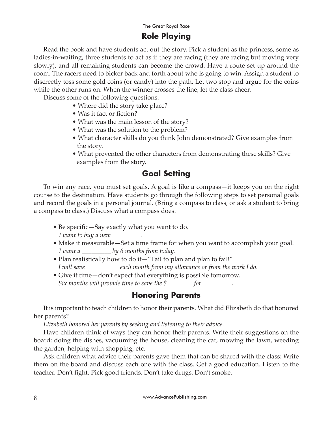#### The Great Royal Race **Role Playing**

Read the book and have students act out the story. Pick a student as the princess, some as ladies-in-waiting, three students to act as if they are racing (they are racing but moving very slowly), and all remaining students can become the crowd. Have a route set up around the room. The racers need to bicker back and forth about who is going to win. Assign a student to discreetly toss some gold coins (or candy) into the path. Let two stop and argue for the coins while the other runs on. When the winner crosses the line, let the class cheer.

Discuss some of the following questions:

- Where did the story take place?
- Was it fact or fiction?
- What was the main lesson of the story?
- What was the solution to the problem?
- What character skills do you think John demonstrated? Give examples from the story.
- What prevented the other characters from demonstrating these skills? Give examples from the story.

#### **Goal Setting**

To win any race, you must set goals. A goal is like a compass—it keeps you on the right course to the destination. Have students go through the following steps to set personal goals and record the goals in a personal journal. (Bring a compass to class, or ask a student to bring a compass to class.) Discuss what a compass does.

- Be specific—Say exactly what you want to do.  *I want to buy a new \_\_\_\_\_\_\_\_\_.*
- Make it measurable—Set a time frame for when you want to accomplish your goal.  *I want a \_\_\_\_\_\_\_\_\_ by 6 months from today.*
- Plan realistically how to do it—"Fail to plan and plan to fail!"  *I will save \_\_\_\_\_\_\_\_\_\_ each month from my allowance or from the work I do.*
- Give it time—don't expect that everything is possible tomorrow.  *Six months will provide time to save the \$\_\_\_\_\_\_\_\_ for \_\_\_\_\_\_\_\_\_.*

#### **Honoring Parents**

It is important to teach children to honor their parents. What did Elizabeth do that honored her parents?

*Elizabeth honored her parents by seeking and listening to their advice.* 

Have children think of ways they can honor their parents. Write their suggestions on the board: doing the dishes, vacuuming the house, cleaning the car, mowing the lawn, weeding the garden, helping with shopping, etc.

Ask children what advice their parents gave them that can be shared with the class: Write them on the board and discuss each one with the class. Get a good education. Listen to the teacher. Don't fight. Pick good friends. Don't take drugs. Don't smoke.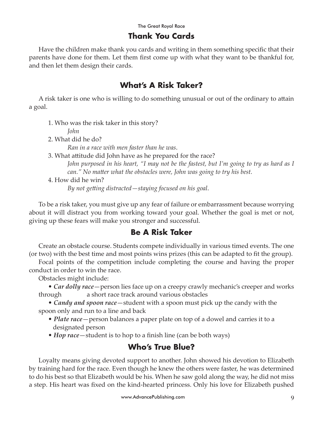#### **Thank You Cards**

Have the children make thank you cards and writing in them something specific that their parents have done for them. Let them first come up with what they want to be thankful for, and then let them design their cards.

#### **What's A Risk Taker?**

A risk taker is one who is willing to do something unusual or out of the ordinary to attain a goal.

1. Who was the risk taker in this story?

*John*

2. What did he do?

*Ran in a race with men faster than he was*.

3. What attitude did John have as he prepared for the race?

*John purposed in his heart, "I may not be the fastest, but I'm going to try as hard as I can."* No matter what the obstacles were, John was going to try his best.

4. How did he win?

*By not ge�ing distracted—staying focused on his goal*.

To be a risk taker, you must give up any fear of failure or embarrassment because worrying about it will distract you from working toward your goal. Whether the goal is met or not, giving up these fears will make you stronger and successful.

#### **Be A Risk Taker**

Create an obstacle course. Students compete individually in various timed events. The one (or two) with the best time and most points wins prizes (this can be adapted to fit the group).

Focal points of the competition include completing the course and having the proper conduct in order to win the race.

Obstacles might include:

• *Car dolly race*—person lies face up on a creepy crawly mechanic's creeper and works through a short race track around various obstacles

• *Candy and spoon race*—student with a spoon must pick up the candy with the spoon only and run to a line and back

- *Plate race*—person balances a paper plate on top of a dowel and carries it to a designated person
- *Hop race*—student is to hop to a finish line (can be both ways)

### **Who's True Blue?**

Loyalty means giving devoted support to another. John showed his devotion to Elizabeth by training hard for the race. Even though he knew the others were faster, he was determined to do his best so that Elizabeth would be his. When he saw gold along the way, he did not miss a step. His heart was fixed on the kind-hearted princess. Only his love for Elizabeth pushed